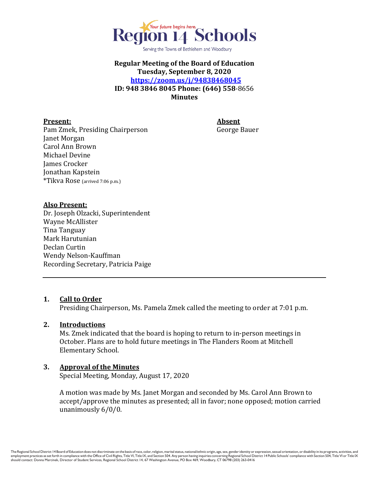

Serving the Towns of Bethlehem and Woodbury

## **Regular Meeting of the Board of Education Tuesday, September 8, 2020 <https://zoom.us/j/94838468045> ID: 948 3846 8045 Phone: (646) 558**-8656 **Minutes**

### **Present: Absent**

Pam Zmek, Presiding Chairperson George Bauer Janet Morgan Carol Ann Brown Michael Devine James Crocker Jonathan Kapstein \*Tikva Rose (arrived 7:06 p.m.)

#### **Also Present:**

Dr. Joseph Olzacki, Superintendent Wayne McAllister Tina Tanguay Mark Harutunian Declan Curtin Wendy Nelson-Kauffman Recording Secretary, Patricia Paige

### **1. Call to Order**

Presiding Chairperson, Ms. Pamela Zmek called the meeting to order at 7:01 p.m.

### **2. Introductions**

Ms. Zmek indicated that the board is hoping to return to in-person meetings in October. Plans are to hold future meetings in The Flanders Room at Mitchell Elementary School.

# **3. Approval of the Minutes**

Special Meeting, Monday, August 17, 2020

A motion was made by Ms. Janet Morgan and seconded by Ms. Carol Ann Brown to accept/approve the minutes as presented; all in favor; none opposed; motion carried unanimously 6/0/0.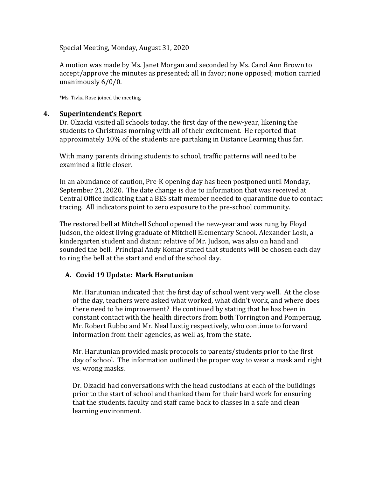Special Meeting, Monday, August 31, 2020

A motion was made by Ms. Janet Morgan and seconded by Ms. Carol Ann Brown to accept/approve the minutes as presented; all in favor; none opposed; motion carried unanimously 6/0/0.

\*Ms. Tivka Rose joined the meeting

### **4. Superintendent's Report**

Dr. Olzacki visited all schools today, the first day of the new-year, likening the students to Christmas morning with all of their excitement. He reported that approximately 10% of the students are partaking in Distance Learning thus far.

With many parents driving students to school, traffic patterns will need to be examined a little closer.

In an abundance of caution, Pre-K opening day has been postponed until Monday, September 21, 2020. The date change is due to information that was received at Central Office indicating that a BES staff member needed to quarantine due to contact tracing. All indicators point to zero exposure to the pre-school community.

The restored bell at Mitchell School opened the new-year and was rung by Floyd Judson, the oldest living graduate of Mitchell Elementary School. Alexander Losh, a kindergarten student and distant relative of Mr. Judson, was also on hand and sounded the bell. Principal Andy Komar stated that students will be chosen each day to ring the bell at the start and end of the school day.

# **A. Covid 19 Update: Mark Harutunian**

Mr. Harutunian indicated that the first day of school went very well. At the close of the day, teachers were asked what worked, what didn't work, and where does there need to be improvement? He continued by stating that he has been in constant contact with the health directors from both Torrington and Pomperaug, Mr. Robert Rubbo and Mr. Neal Lustig respectively, who continue to forward information from their agencies, as well as, from the state.

Mr. Harutunian provided mask protocols to parents/students prior to the first day of school. The information outlined the proper way to wear a mask and right vs. wrong masks.

Dr. Olzacki had conversations with the head custodians at each of the buildings prior to the start of school and thanked them for their hard work for ensuring that the students, faculty and staff came back to classes in a safe and clean learning environment.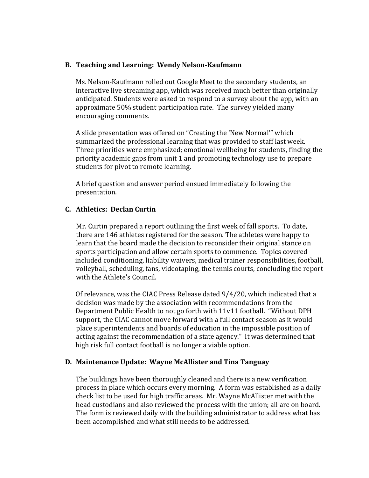### **B. Teaching and Learning: Wendy Nelson-Kaufmann**

Ms. Nelson-Kaufmann rolled out Google Meet to the secondary students, an interactive live streaming app, which was received much better than originally anticipated. Students were asked to respond to a survey about the app, with an approximate 50% student participation rate. The survey yielded many encouraging comments.

A slide presentation was offered on "Creating the 'New Normal'" which summarized the professional learning that was provided to staff last week. Three priorities were emphasized; emotional wellbeing for students, finding the priority academic gaps from unit 1 and promoting technology use to prepare students for pivot to remote learning.

A brief question and answer period ensued immediately following the presentation.

### **C. Athletics: Declan Curtin**

 Mr. Curtin prepared a report outlining the first week of fall sports. To date, there are 146 athletes registered for the season. The athletes were happy to learn that the board made the decision to reconsider their original stance on sports participation and allow certain sports to commence. Topics covered included conditioning, liability waivers, medical trainer responsibilities, football, volleyball, scheduling, fans, videotaping, the tennis courts, concluding the report with the Athlete's Council.

 Of relevance, was the CIAC Press Release dated 9/4/20, which indicated that a decision was made by the association with recommendations from the Department Public Health to not go forth with 11v11 football. "Without DPH support, the CIAC cannot move forward with a full contact season as it would place superintendents and boards of education in the impossible position of acting against the recommendation of a state agency." It was determined that high risk full contact football is no longer a viable option.

### **D. Maintenance Update: Wayne McAllister and Tina Tanguay**

The buildings have been thoroughly cleaned and there is a new verification process in place which occurs every morning. A form was established as a daily check list to be used for high traffic areas. Mr. Wayne McAllister met with the head custodians and also reviewed the process with the union; all are on board. The form is reviewed daily with the building administrator to address what has been accomplished and what still needs to be addressed.